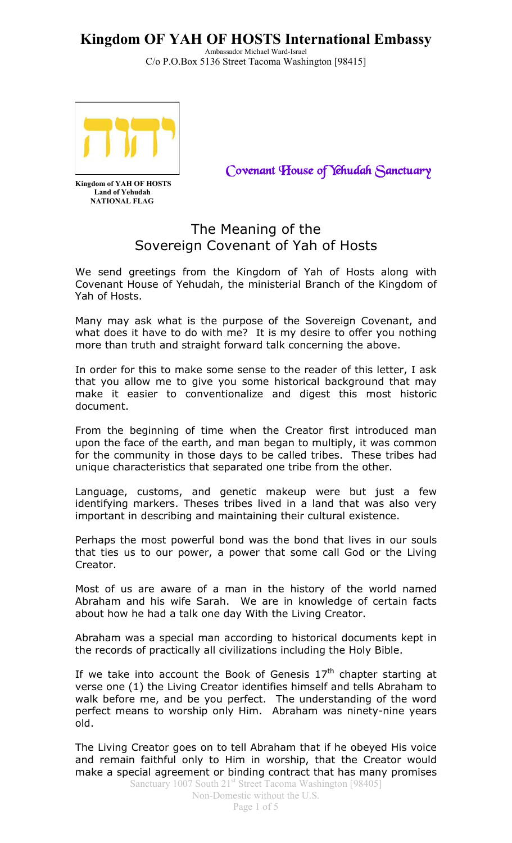Ambassador Michael Ward-Israel C/o P.O.Box 5136 Street Tacoma Washington [98415]



*Covenant House of Yehudah Sanctuary*

**Kingdom of YAH OF HOSTS Land of Yehudah NATIONAL FLAG**

### The Meaning of the Sovereign Covenant of Yah of Hosts

We send greetings from the Kingdom of Yah of Hosts along with Covenant House of Yehudah, the ministerial Branch of the Kingdom of Yah of Hosts.

Many may ask what is the purpose of the Sovereign Covenant, and what does it have to do with me? It is my desire to offer you nothing more than truth and straight forward talk concerning the above.

In order for this to make some sense to the reader of this letter, I ask that you allow me to give you some historical background that may make it easier to conventionalize and digest this most historic document.

From the beginning of time when the Creator first introduced man upon the face of the earth, and man began to multiply, it was common for the community in those days to be called tribes. These tribes had unique characteristics that separated one tribe from the other.

Language, customs, and genetic makeup were but just a few identifying markers. Theses tribes lived in a land that was also very important in describing and maintaining their cultural existence.

Perhaps the most powerful bond was the bond that lives in our souls that ties us to our power, a power that some call God or the Living Creator.

Most of us are aware of a man in the history of the world named Abraham and his wife Sarah. We are in knowledge of certain facts about how he had a talk one day With the Living Creator.

Abraham was a special man according to historical documents kept in the records of practically all civilizations including the Holy Bible.

If we take into account the Book of Genesis  $17<sup>th</sup>$  chapter starting at verse one (1) the Living Creator identifies himself and tells Abraham to walk before me, and be you perfect. The understanding of the word perfect means to worship only Him. Abraham was ninety-nine years old.

The Living Creator goes on to tell Abraham that if he obeyed His voice and remain faithful only to Him in worship, that the Creator would make a special agreement or binding contract that has many promises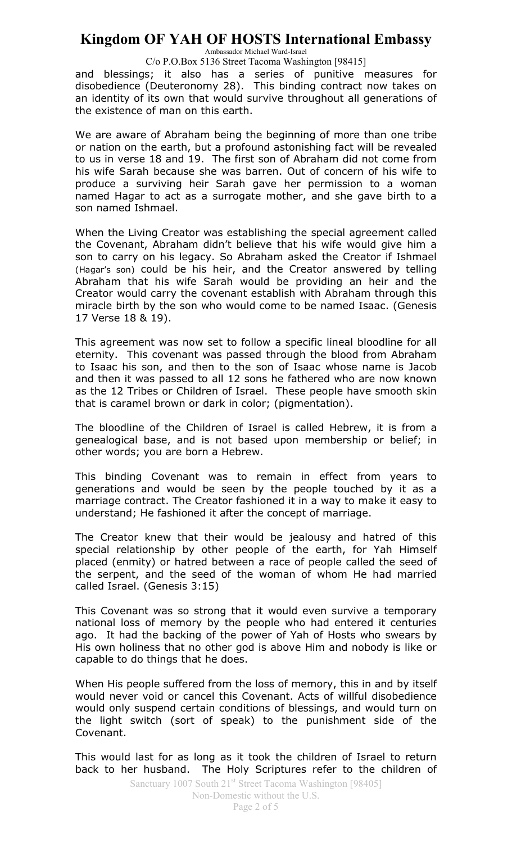Ambassador Michael Ward-Israel

C/o P.O.Box 5136 Street Tacoma Washington [98415]

and blessings; it also has a series of punitive measures for disobedience (Deuteronomy 28). This binding contract now takes on an identity of its own that would survive throughout all generations of the existence of man on this earth.

We are aware of Abraham being the beginning of more than one tribe or nation on the earth, but a profound astonishing fact will be revealed to us in verse 18 and 19. The first son of Abraham did not come from his wife Sarah because she was barren. Out of concern of his wife to produce a surviving heir Sarah gave her permission to a woman named Hagar to act as a surrogate mother, and she gave birth to a son named Ishmael.

When the Living Creator was establishing the special agreement called the Covenant, Abraham didn't believe that his wife would give him a son to carry on his legacy. So Abraham asked the Creator if Ishmael (Hagar's son) could be his heir, and the Creator answered by telling Abraham that his wife Sarah would be providing an heir and the Creator would carry the covenant establish with Abraham through this miracle birth by the son who would come to be named Isaac. (Genesis 17 Verse 18 & 19).

This agreement was now set to follow a specific lineal bloodline for all eternity. This covenant was passed through the blood from Abraham to Isaac his son, and then to the son of Isaac whose name is Jacob and then it was passed to all 12 sons he fathered who are now known as the 12 Tribes or Children of Israel. These people have smooth skin that is caramel brown or dark in color; (pigmentation).

The bloodline of the Children of Israel is called Hebrew, it is from a genealogical base, and is not based upon membership or belief; in other words; you are born a Hebrew.

This binding Covenant was to remain in effect from years to generations and would be seen by the people touched by it as a marriage contract. The Creator fashioned it in a way to make it easy to understand; He fashioned it after the concept of marriage.

The Creator knew that their would be jealousy and hatred of this special relationship by other people of the earth, for Yah Himself placed (enmity) or hatred between a race of people called the seed of the serpent, and the seed of the woman of whom He had married called Israel. (Genesis 3:15)

This Covenant was so strong that it would even survive a temporary national loss of memory by the people who had entered it centuries ago. It had the backing of the power of Yah of Hosts who swears by His own holiness that no other god is above Him and nobody is like or capable to do things that he does.

When His people suffered from the loss of memory, this in and by itself would never void or cancel this Covenant. Acts of willful disobedience would only suspend certain conditions of blessings, and would turn on the light switch (sort of speak) to the punishment side of the Covenant.

This would last for as long as it took the children of Israel to return back to her husband. The Holy Scriptures refer to the children of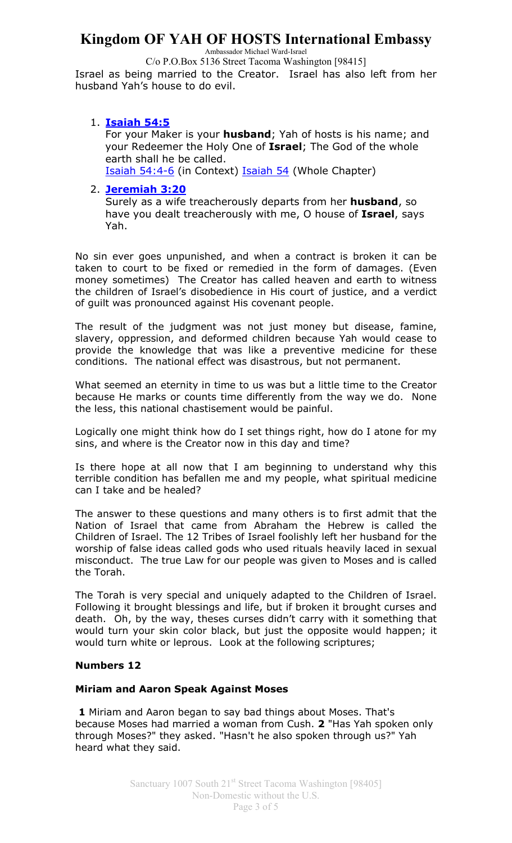Ambassador Michael Ward-Israel

C/o P.O.Box 5136 Street Tacoma Washington [98415]

Israel as being married to the Creator. Israel has also left from her husband Yah's house to do evil.

### 1. **Isaiah 54:5**

For your Maker is your **husband**; Yah of hosts is his name; and your Redeemer the Holy One of **Israel**; The God of the whole earth shall he be called.

Isaiah 54:4-6 (in Context) Isaiah 54 (Whole Chapter)

#### 2. **Jeremiah 3:20**

Surely as a wife treacherously departs from her **husband**, so have you dealt treacherously with me, O house of **Israel**, says Yah.

No sin ever goes unpunished, and when a contract is broken it can be taken to court to be fixed or remedied in the form of damages. (Even money sometimes) The Creator has called heaven and earth to witness the children of Israel's disobedience in His court of justice, and a verdict of guilt was pronounced against His covenant people.

The result of the judgment was not just money but disease, famine, slavery, oppression, and deformed children because Yah would cease to provide the knowledge that was like a preventive medicine for these conditions. The national effect was disastrous, but not permanent.

What seemed an eternity in time to us was but a little time to the Creator because He marks or counts time differently from the way we do. None the less, this national chastisement would be painful.

Logically one might think how do I set things right, how do I atone for my sins, and where is the Creator now in this day and time?

Is there hope at all now that I am beginning to understand why this terrible condition has befallen me and my people, what spiritual medicine can I take and be healed?

The answer to these questions and many others is to first admit that the Nation of Israel that came from Abraham the Hebrew is called the Children of Israel. The 12 Tribes of Israel foolishly left her husband for the worship of false ideas called gods who used rituals heavily laced in sexual misconduct. The true Law for our people was given to Moses and is called the Torah.

The Torah is very special and uniquely adapted to the Children of Israel. Following it brought blessings and life, but if broken it brought curses and death. Oh, by the way, theses curses didn't carry with it something that would turn your skin color black, but just the opposite would happen; it would turn white or leprous. Look at the following scriptures;

#### **Numbers 12**

#### **Miriam and Aaron Speak Against Moses**

**1** Miriam and Aaron began to say bad things about Moses. That's because Moses had married a woman from Cush. **2** "Has Yah spoken only through Moses?" they asked. "Hasn't he also spoken through us?" Yah heard what they said.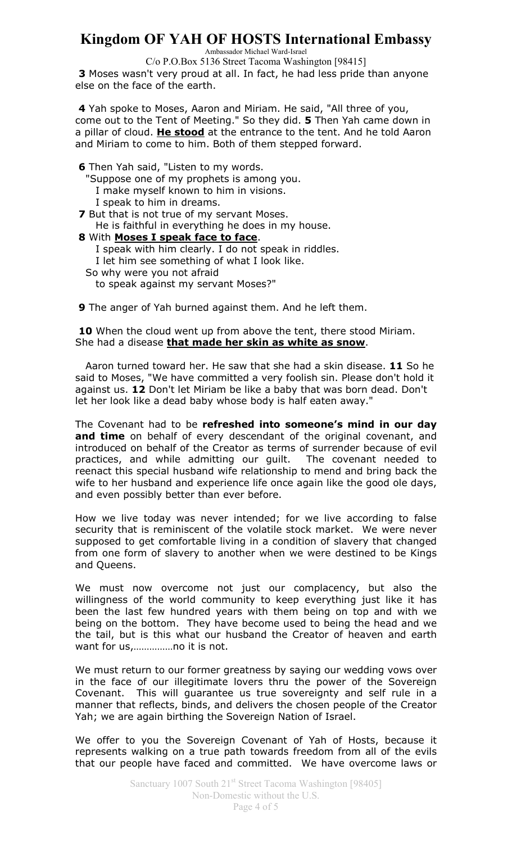Ambassador Michael Ward-Israel

C/o P.O.Box 5136 Street Tacoma Washington [98415]

**3** Moses wasn't very proud at all. In fact, he had less pride than anyone else on the face of the earth.

**4** Yah spoke to Moses, Aaron and Miriam. He said, "All three of you, come out to the Tent of Meeting." So they did. **5** Then Yah came down in a pillar of cloud. **He stood** at the entrance to the tent. And he told Aaron and Miriam to come to him. Both of them stepped forward.

**6** Then Yah said, "Listen to my words. "Suppose one of my prophets is among you. I make myself known to him in visions. I speak to him in dreams. **7** But that is not true of my servant Moses. He is faithful in everything he does in my house. **8** With **Moses I speak face to face**. I speak with him clearly. I do not speak in riddles. I let him see something of what I look like. So why were you not afraid

to speak against my servant Moses?"

**9** The anger of Yah burned against them. And he left them.

10 When the cloud went up from above the tent, there stood Miriam. She had a disease **that made her skin as white as snow**.

 Aaron turned toward her. He saw that she had a skin disease. **11** So he said to Moses, "We have committed a very foolish sin. Please don't hold it against us. **12** Don't let Miriam be like a baby that was born dead. Don't let her look like a dead baby whose body is half eaten away."

The Covenant had to be **refreshed into someone's mind in our day**  and time on behalf of every descendant of the original covenant, and introduced on behalf of the Creator as terms of surrender because of evil practices, and while admitting our guilt. The covenant needed to reenact this special husband wife relationship to mend and bring back the wife to her husband and experience life once again like the good ole days, and even possibly better than ever before.

How we live today was never intended; for we live according to false security that is reminiscent of the volatile stock market. We were never supposed to get comfortable living in a condition of slavery that changed from one form of slavery to another when we were destined to be Kings and Queens.

We must now overcome not just our complacency, but also the willingness of the world community to keep everything just like it has been the last few hundred years with them being on top and with we being on the bottom. They have become used to being the head and we the tail, but is this what our husband the Creator of heaven and earth want for us,……………no it is not.

We must return to our former greatness by saying our wedding vows over in the face of our illegitimate lovers thru the power of the Sovereign Covenant. This will guarantee us true sovereignty and self rule in a manner that reflects, binds, and delivers the chosen people of the Creator Yah; we are again birthing the Sovereign Nation of Israel.

We offer to you the Sovereign Covenant of Yah of Hosts, because it represents walking on a true path towards freedom from all of the evils that our people have faced and committed. We have overcome laws or